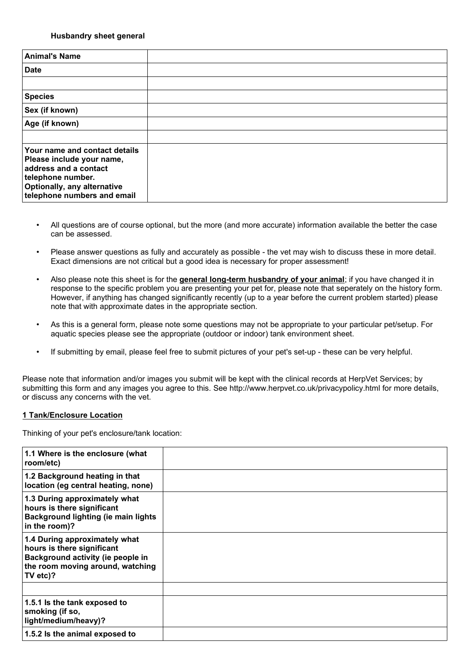### **Husbandry sheet general**

| <b>Animal's Name</b>                                                                                                                                                          |  |
|-------------------------------------------------------------------------------------------------------------------------------------------------------------------------------|--|
| <b>Date</b>                                                                                                                                                                   |  |
|                                                                                                                                                                               |  |
| <b>Species</b>                                                                                                                                                                |  |
| Sex (if known)                                                                                                                                                                |  |
| Age (if known)                                                                                                                                                                |  |
|                                                                                                                                                                               |  |
| Your name and contact details<br>Please include your name,<br>address and a contact<br>telephone number.<br><b>Optionally, any alternative</b><br>telephone numbers and email |  |

- All questions are of course optional, but the more (and more accurate) information available the better the case can be assessed.
- Please answer questions as fully and accurately as possible the vet may wish to discuss these in more detail. Exact dimensions are not critical but a good idea is necessary for proper assessment!
- Also please note this sheet is for the **general long-term husbandry of your animal**; if you have changed it in response to the specific problem you are presenting your pet for, please note that seperately on the history form. However, if anything has changed significantly recently (up to a year before the current problem started) please note that with approximate dates in the appropriate section.
- As this is a general form, please note some questions may not be appropriate to your particular pet/setup. For aquatic species please see the appropriate (outdoor or indoor) tank environment sheet.
- If submitting by email, please feel free to submit pictures of your pet's set-up these can be very helpful.

Please note that information and/or images you submit will be kept with the clinical records at HerpVet Services; by submitting this form and any images you agree to this. See http://www.herpvet.co.uk/privacypolicy.html for more details, or discuss any concerns with the vet.

#### **1 Tank/Enclosure Location**

Thinking of your pet's enclosure/tank location:

| 1.1 Where is the enclosure (what<br>room/etc)                                                                                                    |  |
|--------------------------------------------------------------------------------------------------------------------------------------------------|--|
| 1.2 Background heating in that<br>location (eg central heating, none)                                                                            |  |
| 1.3 During approximately what<br>hours is there significant<br><b>Background lighting (ie main lights</b><br>in the room)?                       |  |
| 1.4 During approximately what<br>hours is there significant<br>Background activity (ie people in<br>the room moving around, watching<br>TV etc)? |  |
|                                                                                                                                                  |  |
| 1.5.1 Is the tank exposed to<br>smoking (if so,<br>light/medium/heavy)?                                                                          |  |
| 1.5.2 Is the animal exposed to                                                                                                                   |  |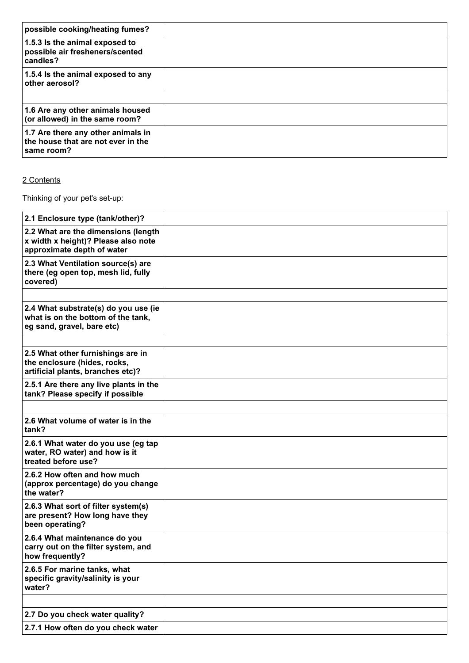| possible cooking/heating fumes?                                                        |  |
|----------------------------------------------------------------------------------------|--|
| 1.5.3 Is the animal exposed to<br>possible air fresheners/scented<br>candles?          |  |
| 1.5.4 Is the animal exposed to any<br>other aerosol?                                   |  |
|                                                                                        |  |
| 1.6 Are any other animals housed<br>(or allowed) in the same room?                     |  |
| 1.7 Are there any other animals in<br>the house that are not ever in the<br>same room? |  |

## 2 Contents

Thinking of your pet's set-up:

| 2.1 Enclosure type (tank/other)?                                                                         |  |
|----------------------------------------------------------------------------------------------------------|--|
| 2.2 What are the dimensions (length<br>x width x height)? Please also note<br>approximate depth of water |  |
| 2.3 What Ventilation source(s) are<br>there (eg open top, mesh lid, fully<br>covered)                    |  |
|                                                                                                          |  |
| 2.4 What substrate(s) do you use (ie<br>what is on the bottom of the tank,<br>eg sand, gravel, bare etc) |  |
|                                                                                                          |  |
| 2.5 What other furnishings are in<br>the enclosure (hides, rocks,<br>artificial plants, branches etc)?   |  |
| 2.5.1 Are there any live plants in the<br>tank? Please specify if possible                               |  |
|                                                                                                          |  |
| 2.6 What volume of water is in the<br>tank?                                                              |  |
| 2.6.1 What water do you use (eg tap<br>water, RO water) and how is it<br>treated before use?             |  |
| 2.6.2 How often and how much<br>(approx percentage) do you change<br>the water?                          |  |
| 2.6.3 What sort of filter system(s)<br>are present? How long have they<br>been operating?                |  |
| 2.6.4 What maintenance do you<br>carry out on the filter system, and<br>how frequently?                  |  |
| 2.6.5 For marine tanks, what<br>specific gravity/salinity is your<br>water?                              |  |
|                                                                                                          |  |
| 2.7 Do you check water quality?                                                                          |  |
| 2.7.1 How often do you check water                                                                       |  |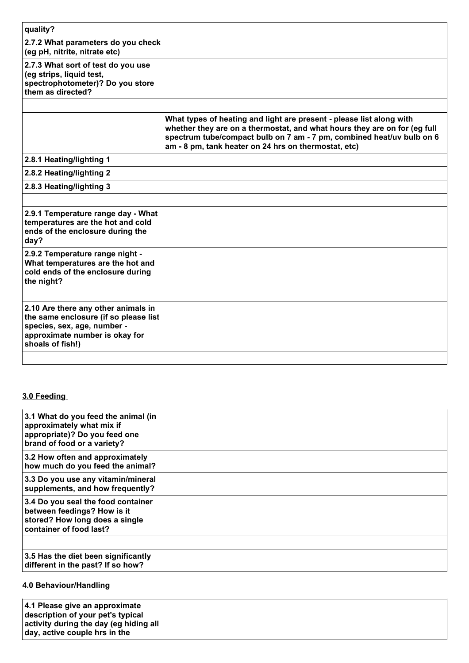| quality?                                                                                                                                                          |                                                                                                                                                                                                                                                                                    |
|-------------------------------------------------------------------------------------------------------------------------------------------------------------------|------------------------------------------------------------------------------------------------------------------------------------------------------------------------------------------------------------------------------------------------------------------------------------|
| 2.7.2 What parameters do you check<br>(eg pH, nitrite, nitrate etc)                                                                                               |                                                                                                                                                                                                                                                                                    |
| 2.7.3 What sort of test do you use<br>(eg strips, liquid test,<br>spectrophotometer)? Do you store<br>them as directed?                                           |                                                                                                                                                                                                                                                                                    |
|                                                                                                                                                                   |                                                                                                                                                                                                                                                                                    |
|                                                                                                                                                                   | What types of heating and light are present - please list along with<br>whether they are on a thermostat, and what hours they are on for (eg full<br>spectrum tube/compact bulb on 7 am - 7 pm, combined heat/uv bulb on 6<br>am - 8 pm, tank heater on 24 hrs on thermostat, etc) |
| 2.8.1 Heating/lighting 1                                                                                                                                          |                                                                                                                                                                                                                                                                                    |
| 2.8.2 Heating/lighting 2                                                                                                                                          |                                                                                                                                                                                                                                                                                    |
| 2.8.3 Heating/lighting 3                                                                                                                                          |                                                                                                                                                                                                                                                                                    |
|                                                                                                                                                                   |                                                                                                                                                                                                                                                                                    |
| 2.9.1 Temperature range day - What<br>temperatures are the hot and cold<br>ends of the enclosure during the<br>day?                                               |                                                                                                                                                                                                                                                                                    |
| 2.9.2 Temperature range night -<br>What temperatures are the hot and<br>cold ends of the enclosure during<br>the night?                                           |                                                                                                                                                                                                                                                                                    |
|                                                                                                                                                                   |                                                                                                                                                                                                                                                                                    |
| 2.10 Are there any other animals in<br>the same enclosure (if so please list<br>species, sex, age, number -<br>approximate number is okay for<br>shoals of fish!) |                                                                                                                                                                                                                                                                                    |
|                                                                                                                                                                   |                                                                                                                                                                                                                                                                                    |

### **3.0 Feeding**

| 3.1 What do you feed the animal (in<br>approximately what mix if<br>appropriate)? Do you feed one<br>brand of food or a variety? |  |
|----------------------------------------------------------------------------------------------------------------------------------|--|
| 3.2 How often and approximately<br>how much do you feed the animal?                                                              |  |
| 3.3 Do you use any vitamin/mineral<br>supplements, and how frequently?                                                           |  |
| 3.4 Do you seal the food container<br>between feedings? How is it<br>stored? How long does a single<br>container of food last?   |  |
|                                                                                                                                  |  |
| 3.5 Has the diet been significantly<br>different in the past? If so how?                                                         |  |

# **4.0 Behaviour/Handling**

|--|